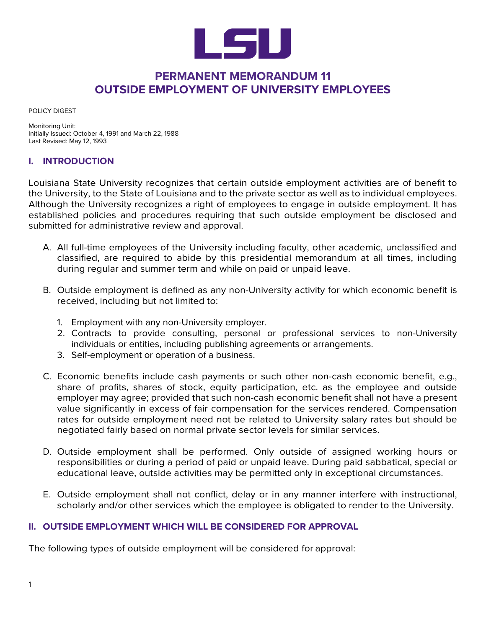

# **PERMANENT MEMORANDUM 11 OUTSIDE EMPLOYMENT OF UNIVERSITY EMPLOYEES**

POLICY DIGEST

Monitoring Unit: Initially Issued: October 4, 1991 and March 22, 1988 Last Revised: May 12, 1993

### **I. INTRODUCTION**

Louisiana State University recognizes that certain outside employment activities are of benefit to the University, to the State of Louisiana and to the private sector as well as to individual employees. Although the University recognizes a right of employees to engage in outside employment. It has established policies and procedures requiring that such outside employment be disclosed and submitted for administrative review and approval.

- A. All full-time employees of the University including faculty, other academic, unclassified and classified, are required to abide by this presidential memorandum at all times, including during regular and summer term and while on paid or unpaid leave.
- B. Outside employment is defined as any non-University activity for which economic benefit is received, including but not limited to:
	- 1. Employment with any non-University employer.
	- 2. Contracts to provide consulting, personal or professional services to non-University individuals or entities, including publishing agreements or arrangements.
	- 3. Self-employment or operation of a business.
- C. Economic benefits include cash payments or such other non-cash economic benefit, e.g., share of profits, shares of stock, equity participation, etc. as the employee and outside employer may agree; provided that such non-cash economic benefit shall not have a present value significantly in excess of fair compensation for the services rendered. Compensation rates for outside employment need not be related to University salary rates but should be negotiated fairly based on normal private sector levels for similar services.
- D. Outside employment shall be performed. Only outside of assigned working hours or responsibilities or during a period of paid or unpaid leave. During paid sabbatical, special or educational leave, outside activities may be permitted only in exceptional circumstances.
- E. Outside employment shall not conflict, delay or in any manner interfere with instructional, scholarly and/or other services which the employee is obligated to render to the University.

### **II. OUTSIDE EMPLOYMENT WHICH WILL BE CONSIDERED FOR APPROVAL**

The following types of outside employment will be considered for approval: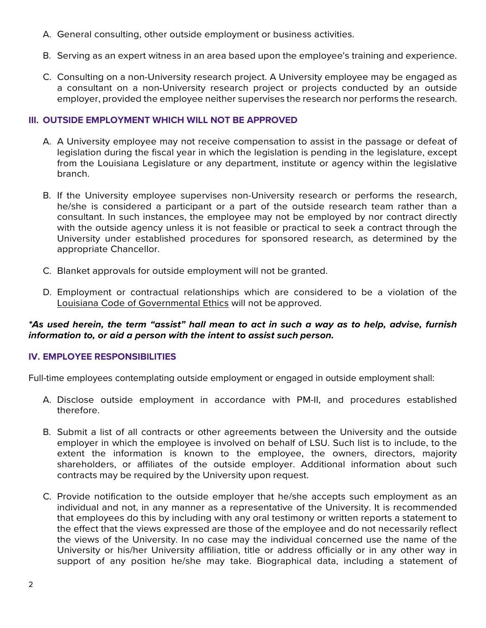- A. General consulting, other outside employment or business activities.
- B. Serving as an expert witness in an area based upon the employee's training and experience.
- C. Consulting on a non-University research project. A University employee may be engaged as a consultant on a non-University research project or projects conducted by an outside employer, provided the employee neither supervises the research nor performs the research.

#### **III. OUTSIDE EMPLOYMENT WHICH WILL NOT BE APPROVED**

- A. A University employee may not receive compensation to assist in the passage or defeat of legislation during the fiscal year in which the legislation is pending in the legislature, except from the Louisiana Legislature or any department, institute or agency within the legislative branch.
- B. If the University employee supervises non-University research or performs the research, he/she is considered a participant or a part of the outside research team rather than a consultant. In such instances, the employee may not be employed by nor contract directly with the outside agency unless it is not feasible or practical to seek a contract through the University under established procedures for sponsored research, as determined by the appropriate Chancellor.
- C. Blanket approvals for outside employment will not be granted.
- D. Employment or contractual relationships which are considered to be a violation of the Louisiana Code of Governmental Ethics will not be approved.

### *\*As used herein, the term "assist" hall mean to act in such a way as to help, advise, furnish information to, or aid a person with the intent to assist such person.*

#### **IV. EMPLOYEE RESPONSIBILITIES**

Full-time employees contemplating outside employment or engaged in outside employment shall:

- A. Disclose outside employment in accordance with PM-II, and procedures established therefore.
- B. Submit a list of all contracts or other agreements between the University and the outside employer in which the employee is involved on behalf of LSU. Such list is to include, to the extent the information is known to the employee, the owners, directors, majority shareholders, or affiliates of the outside employer. Additional information about such contracts may be required by the University upon request.
- C. Provide notification to the outside employer that he/she accepts such employment as an individual and not, in any manner as a representative of the University. It is recommended that employees do this by including with any oral testimony or written reports a statement to the effect that the views expressed are those of the employee and do not necessarily reflect the views of the University. In no case may the individual concerned use the name of the University or his/her University affiliation, title or address officially or in any other way in support of any position he/she may take. Biographical data, including a statement of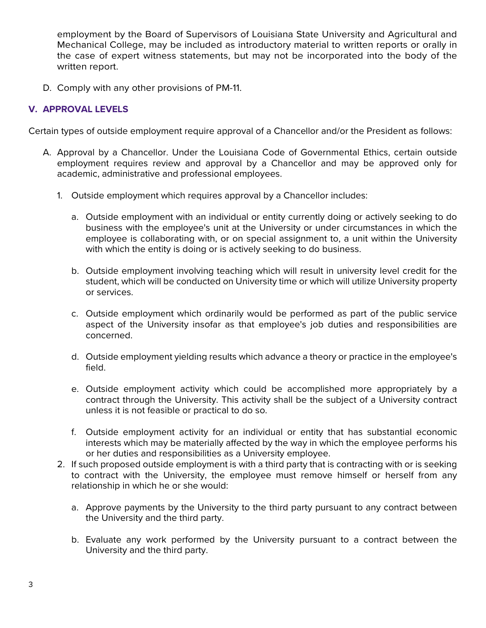employment by the Board of Supervisors of Louisiana State University and Agricultural and Mechanical College, may be included as introductory material to written reports or orally in the case of expert witness statements, but may not be incorporated into the body of the written report.

D. Comply with any other provisions of PM-11.

# **V. APPROVAL LEVELS**

Certain types of outside employment require approval of a Chancellor and/or the President as follows:

- A. Approval by a Chancellor. Under the Louisiana Code of Governmental Ethics, certain outside employment requires review and approval by a Chancellor and may be approved only for academic, administrative and professional employees.
	- 1. Outside employment which requires approval by a Chancellor includes:
		- a. Outside employment with an individual or entity currently doing or actively seeking to do business with the employee's unit at the University or under circumstances in which the employee is collaborating with, or on special assignment to, a unit within the University with which the entity is doing or is actively seeking to do business.
		- b. Outside employment involving teaching which will result in university level credit for the student, which will be conducted on University time or which will utilize University property or services.
		- c. Outside employment which ordinarily would be performed as part of the public service aspect of the University insofar as that employee's job duties and responsibilities are concerned.
		- d. Outside employment yielding results which advance a theory or practice in the employee's field.
		- e. Outside employment activity which could be accomplished more appropriately by a contract through the University. This activity shall be the subject of a University contract unless it is not feasible or practical to do so.
		- f. Outside employment activity for an individual or entity that has substantial economic interests which may be materially affected by the way in which the employee performs his or her duties and responsibilities as a University employee.
	- 2. If such proposed outside employment is with a third party that is contracting with or is seeking to contract with the University, the employee must remove himself or herself from any relationship in which he or she would:
		- a. Approve payments by the University to the third party pursuant to any contract between the University and the third party.
		- b. Evaluate any work performed by the University pursuant to a contract between the University and the third party.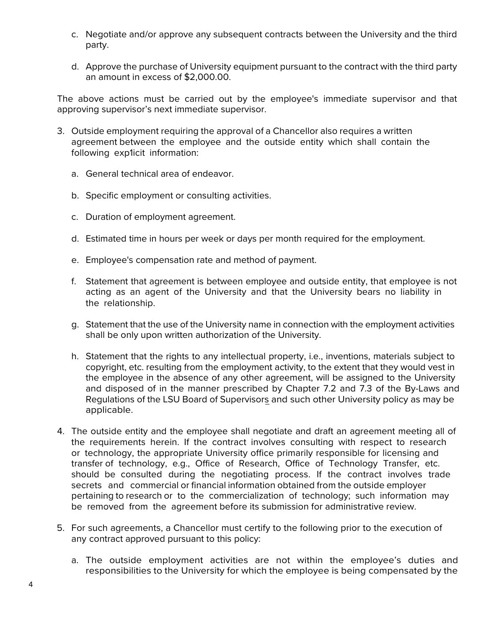- c. Negotiate and/or approve any subsequent contracts between the University and the third party.
- d. Approve the purchase of University equipment pursuant to the contract with the third party an amount in excess of \$2,000.00.

The above actions must be carried out by the employee's immediate supervisor and that approving supervisor's next immediate supervisor.

- 3. Outside employment requiring the approval of a Chancellor also requires a written agreement between the employee and the outside entity which shall contain the following exp1icit information:
	- a. General technical area of endeavor.
	- b. Specific employment or consulting activities.
	- c. Duration of employment agreement.
	- d. Estimated time in hours per week or days per month required for the employment.
	- e. Employee's compensation rate and method of payment.
	- f. Statement that agreement is between employee and outside entity, that employee is not acting as an agent of the University and that the University bears no liability in the relationship.
	- g. Statement that the use of the University name in connection with the employment activities shall be only upon written authorization of the University.
	- h. Statement that the rights to any intellectual property, i.e., inventions, materials subject to copyright, etc. resulting from the employment activity, to the extent that they would vest in the employee in the absence of any other agreement, will be assigned to the University and disposed of in the manner prescribed by Chapter 7.2 and 7.3 of the By-Laws and Regulations of the LSU Board of Supervisors and such other University policy as may be applicable.
- 4. The outside entity and the employee shall negotiate and draft an agreement meeting all of the requirements herein. If the contract involves consulting with respect to research or technology, the appropriate University office primarily responsible for licensing and transfer of technology, e.g., Office of Research, Office of Technology Transfer, etc. should be consulted during the negotiating process. If the contract involves trade secrets and commercial or financial information obtained from the outside employer pertaining to research or to the commercialization of technology; such information may be removed from the agreement before its submission for administrative review.
- 5. For such agreements, a Chancellor must certify to the following prior to the execution of any contract approved pursuant to this policy:
	- a. The outside employment activities are not within the employee's duties and responsibilities to the University for which the employee is being compensated by the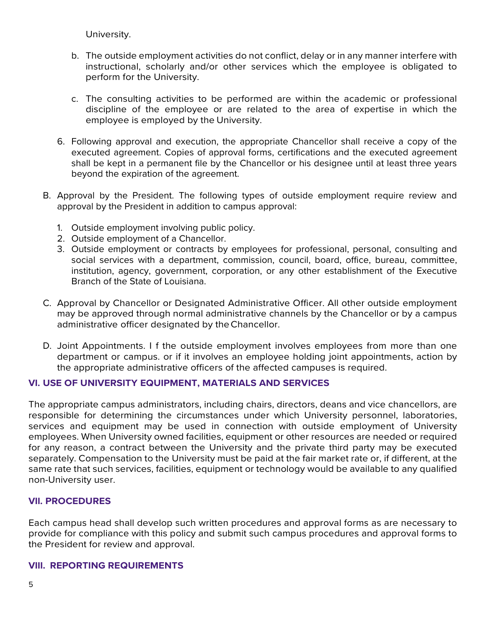University.

- b. The outside employment activities do not conflict, delay or in any manner interfere with instructional, scholarly and/or other services which the employee is obligated to perform for the University.
- c. The consulting activities to be performed are within the academic or professional discipline of the employee or are related to the area of expertise in which the employee is employed by the University.
- 6. Following approval and execution, the appropriate Chancellor shall receive a copy of the executed agreement. Copies of approval forms, certifications and the executed agreement shall be kept in a permanent file by the Chancellor or his designee until at least three years beyond the expiration of the agreement.
- B. Approval by the President. The following types of outside employment require review and approval by the President in addition to campus approval:
	- 1. Outside employment involving public policy.
	- 2. Outside employment of a Chancellor.
	- 3. Outside employment or contracts by employees for professional, personal, consulting and social services with a department, commission, council, board, office, bureau, committee, institution, agency, government, corporation, or any other establishment of the Executive Branch of the State of Louisiana.
- C. Approval by Chancellor or Designated Administrative Officer. All other outside employment may be approved through normal administrative channels by the Chancellor or by a campus administrative officer designated by theChancellor.
- D. Joint Appointments. I f the outside employment involves employees from more than one department or campus. or if it involves an employee holding joint appointments, action by the appropriate administrative officers of the affected campuses is required.

#### **VI. USE OF UNIVERSITY EQUIPMENT, MATERIALS AND SERVICES**

The appropriate campus administrators, including chairs, directors, deans and vice chancellors, are responsible for determining the circumstances under which University personnel, laboratories, services and equipment may be used in connection with outside employment of University employees. When University owned facilities, equipment or other resources are needed or required for any reason, a contract between the University and the private third party may be executed separately. Compensation to the University must be paid at the fair market rate or, if different, at the same rate that such services, facilities, equipment or technology would be available to any qualified non-University user.

### **VII. PROCEDURES**

Each campus head shall develop such written procedures and approval forms as are necessary to provide for compliance with this policy and submit such campus procedures and approval forms to the President for review and approval.

#### **VIII. REPORTING REQUIREMENTS**